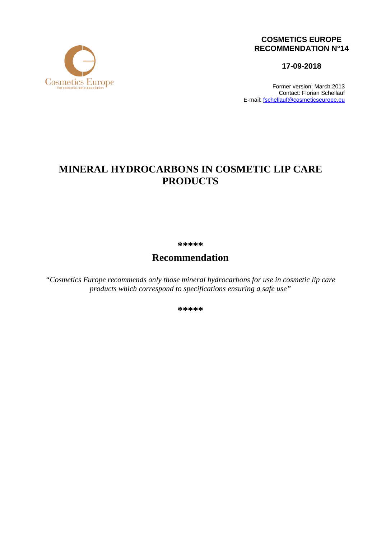

### **COSMETICS EUROPE RECOMMENDATION N°14**

**17-09-2018**

Former version: March 2013 Contact: Florian Schellauf E-mail: [fschellauf@cosmeticseurope.eu](mailto:fschellauf@cosmeticseurope.eu)

# **MINERAL HYDROCARBONS IN COSMETIC LIP CARE PRODUCTS**

**\*\*\*\*\***

## **Recommendation**

*"Cosmetics Europe recommends only those mineral hydrocarbons for use in cosmetic lip care products which correspond to specifications ensuring a safe use"*

**\*\*\*\*\***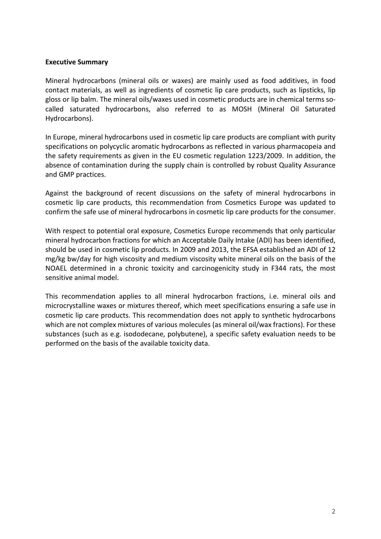#### **Executive Summary**

Mineral hydrocarbons (mineral oils or waxes) are mainly used as food additives, in food contact materials, as well as ingredients of cosmetic lip care products, such as lipsticks, lip gloss or lip balm. The mineral oils/waxes used in cosmetic products are in chemical terms socalled saturated hydrocarbons, also referred to as MOSH (Mineral Oil Saturated Hydrocarbons).

In Europe, mineral hydrocarbons used in cosmetic lip care products are compliant with purity specifications on polycyclic aromatic hydrocarbons as reflected in various pharmacopeia and the safety requirements as given in the EU cosmetic regulation 1223/2009. In addition, the absence of contamination during the supply chain is controlled by robust Quality Assurance and GMP practices.

Against the background of recent discussions on the safety of mineral hydrocarbons in cosmetic lip care products, this recommendation from Cosmetics Europe was updated to confirm the safe use of mineral hydrocarbons in cosmetic lip care products for the consumer.

With respect to potential oral exposure, Cosmetics Europe recommends that only particular mineral hydrocarbon fractions for which an Acceptable Daily Intake (ADI) has been identified, should be used in cosmetic lip products. In 2009 and 2013, the EFSA established an ADI of 12 mg/kg bw/day for high viscosity and medium viscosity white mineral oils on the basis of the NOAEL determined in a chronic toxicity and carcinogenicity study in F344 rats, the most sensitive animal model.

This recommendation applies to all mineral hydrocarbon fractions, i.e. mineral oils and microcrystalline waxes or mixtures thereof, which meet specifications ensuring a safe use in cosmetic lip care products. This recommendation does not apply to synthetic hydrocarbons which are not complex mixtures of various molecules (as mineral oil/wax fractions). For these substances (such as e.g. isododecane, polybutene), a specific safety evaluation needs to be performed on the basis of the available toxicity data.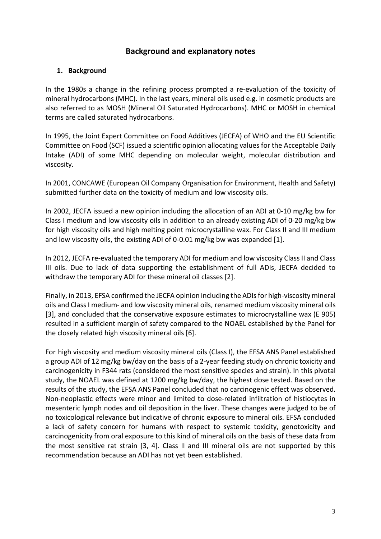## **Background and explanatory notes**

#### **1. Background**

In the 1980s a change in the refining process prompted a re-evaluation of the toxicity of mineral hydrocarbons (MHC). In the last years, mineral oils used e.g. in cosmetic products are also referred to as MOSH (Mineral Oil Saturated Hydrocarbons). MHC or MOSH in chemical terms are called saturated hydrocarbons.

In 1995, the Joint Expert Committee on Food Additives (JECFA) of WHO and the EU Scientific Committee on Food (SCF) issued a scientific opinion allocating values for the Acceptable Daily Intake (ADI) of some MHC depending on molecular weight, molecular distribution and viscosity.

In 2001, CONCAWE (European Oil Company Organisation for Environment, Health and Safety) submitted further data on the toxicity of medium and low viscosity oils.

In 2002, JECFA issued a new opinion including the allocation of an ADI at 0-10 mg/kg bw for Class I medium and low viscosity oils in addition to an already existing ADI of 0-20 mg/kg bw for high viscosity oils and high melting point microcrystalline wax. For Class II and III medium and low viscosity oils, the existing ADI of 0-0.01 mg/kg bw was expanded [1].

In 2012, JECFA re-evaluated the temporary ADI for medium and low viscosity Class II and Class III oils. Due to lack of data supporting the establishment of full ADIs, JECFA decided to withdraw the temporary ADI for these mineral oil classes [2].

Finally, in 2013, EFSA confirmed the JECFA opinion including the ADIs for high-viscosity mineral oils and Class I medium- and low viscosity mineral oils, renamed medium viscosity mineral oils [3], and concluded that the conservative exposure estimates to microcrystalline wax (E 905) resulted in a sufficient margin of safety compared to the NOAEL established by the Panel for the closely related high viscosity mineral oils [6].

For high viscosity and medium viscosity mineral oils (Class I), the EFSA ANS Panel established a group ADI of 12 mg/kg bw/day on the basis of a 2-year feeding study on chronic toxicity and carcinogenicity in F344 rats (considered the most sensitive species and strain). In this pivotal study, the NOAEL was defined at 1200 mg/kg bw/day, the highest dose tested. Based on the results of the study, the EFSA ANS Panel concluded that no carcinogenic effect was observed. Non-neoplastic effects were minor and limited to dose-related infiltration of histiocytes in mesenteric lymph nodes and oil deposition in the liver. These changes were judged to be of no toxicological relevance but indicative of chronic exposure to mineral oils. EFSA concluded a lack of safety concern for humans with respect to systemic toxicity, genotoxicity and carcinogenicity from oral exposure to this kind of mineral oils on the basis of these data from the most sensitive rat strain [3, 4]. Class II and III mineral oils are not supported by this recommendation because an ADI has not yet been established.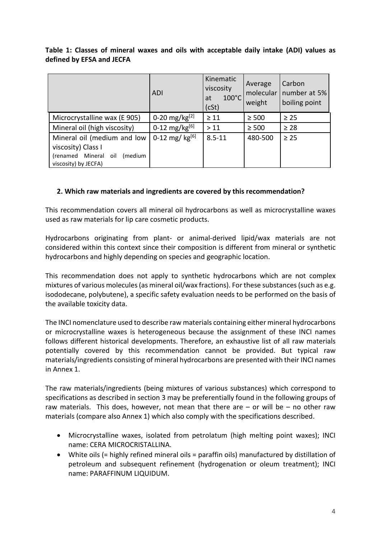|                           |  |  |  | Table 1: Classes of mineral waxes and oils with acceptable daily intake (ADI) values as |  |  |  |
|---------------------------|--|--|--|-----------------------------------------------------------------------------------------|--|--|--|
| defined by EFSA and JECFA |  |  |  |                                                                                         |  |  |  |

|                                                                                                              | <b>ADI</b>          | Kinematic<br>viscosity<br>$100^{\circ}$ C<br>at<br>(cSt) | Average<br>molecular<br>weight | Carbon<br>number at 5%<br>boiling point |
|--------------------------------------------------------------------------------------------------------------|---------------------|----------------------------------------------------------|--------------------------------|-----------------------------------------|
| Microcrystalline wax (E 905)                                                                                 | 0-20 mg/kg $^{[2]}$ | $\geq 11$                                                | $\geq 500$                     | $\geq 25$                               |
| Mineral oil (high viscosity)                                                                                 | 0-12 mg/kg $[6]$    | >11                                                      | $\geq 500$                     | $\geq 28$                               |
| Mineral oil (medium and low<br>viscosity) Class I<br>(renamed Mineral oil<br>(medium<br>viscosity) by JECFA) | 0-12 mg/ $kg^{[6]}$ | $8.5 - 11$                                               | 480-500                        | $\geq 25$                               |

#### **2. Which raw materials and ingredients are covered by this recommendation?**

This recommendation covers all mineral oil hydrocarbons as well as microcrystalline waxes used as raw materials for lip care cosmetic products.

Hydrocarbons originating from plant- or animal-derived lipid/wax materials are not considered within this context since their composition is different from mineral or synthetic hydrocarbons and highly depending on species and geographic location.

This recommendation does not apply to synthetic hydrocarbons which are not complex mixtures of various molecules (as mineral oil/wax fractions). For these substances (such as e.g. isododecane, polybutene), a specific safety evaluation needs to be performed on the basis of the available toxicity data.

The INCI nomenclature used to describe raw materials containing either mineral hydrocarbons or microcrystalline waxes is heterogeneous because the assignment of these INCI names follows different historical developments. Therefore, an exhaustive list of all raw materials potentially covered by this recommendation cannot be provided. But typical raw materials/ingredients consisting of mineral hydrocarbons are presented with their INCI names in Annex 1.

The raw materials/ingredients (being mixtures of various substances) which correspond to specifications as described in section 3 may be preferentially found in the following groups of raw materials. This does, however, not mean that there are  $-$  or will be  $-$  no other raw materials (compare also Annex 1) which also comply with the specifications described.

- Microcrystalline waxes, isolated from petrolatum (high melting point waxes); INCI name: CERA MICROCRISTALLINA.
- White oils (= highly refined mineral oils = paraffin oils) manufactured by distillation of petroleum and subsequent refinement (hydrogenation or oleum treatment); INCI name: PARAFFINUM LIQUIDUM.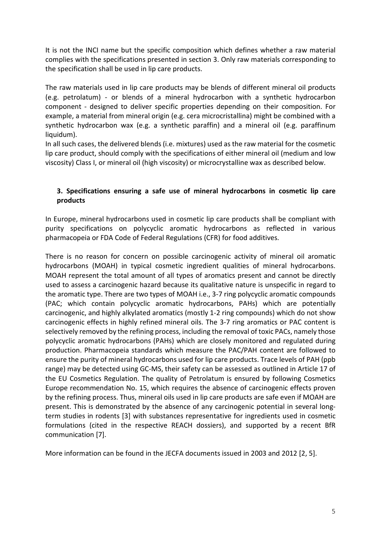It is not the INCI name but the specific composition which defines whether a raw material complies with the specifications presented in section 3. Only raw materials corresponding to the specification shall be used in lip care products.

The raw materials used in lip care products may be blends of different mineral oil products (e.g. petrolatum) - or blends of a mineral hydrocarbon with a synthetic hydrocarbon component - designed to deliver specific properties depending on their composition. For example, a material from mineral origin (e.g. cera microcristallina) might be combined with a synthetic hydrocarbon wax (e.g. a synthetic paraffin) and a mineral oil (e.g. paraffinum liquidum).

In all such cases, the delivered blends (i.e. mixtures) used as the raw material for the cosmetic lip care product, should comply with the specifications of either mineral oil (medium and low viscosity) Class I, or mineral oil (high viscosity) or microcrystalline wax as described below.

## **3. Specifications ensuring a safe use of mineral hydrocarbons in cosmetic lip care products**

In Europe, mineral hydrocarbons used in cosmetic lip care products shall be compliant with purity specifications on polycyclic aromatic hydrocarbons as reflected in various pharmacopeia or FDA Code of Federal Regulations (CFR) for food additives.

There is no reason for concern on possible carcinogenic activity of mineral oil aromatic hydrocarbons (MOAH) in typical cosmetic ingredient qualities of mineral hydrocarbons. MOAH represent the total amount of all types of aromatics present and cannot be directly used to assess a carcinogenic hazard because its qualitative nature is unspecific in regard to the aromatic type. There are two types of MOAH i.e., 3-7 ring polycyclic aromatic compounds (PAC; which contain polycyclic aromatic hydrocarbons, PAHs) which are potentially carcinogenic, and highly alkylated aromatics (mostly 1-2 ring compounds) which do not show carcinogenic effects in highly refined mineral oils. The 3-7 ring aromatics or PAC content is selectively removed by the refining process, including the removal of toxic PACs, namely those polycyclic aromatic hydrocarbons (PAHs) which are closely monitored and regulated during production. Pharmacopeia standards which measure the PAC/PAH content are followed to ensure the purity of mineral hydrocarbons used for lip care products. Trace levels of PAH (ppb range) may be detected using GC-MS, their safety can be assessed as outlined in Article 17 of the EU Cosmetics Regulation. The quality of Petrolatum is ensured by following Cosmetics Europe recommendation No. 15, which requires the absence of carcinogenic effects proven by the refining process. Thus, mineral oils used in lip care products are safe even if MOAH are present. This is demonstrated by the absence of any carcinogenic potential in several longterm studies in rodents [3] with substances representative for ingredients used in cosmetic formulations (cited in the respective REACH dossiers), and supported by a recent BfR communication [7].

More information can be found in the JECFA documents issued in 2003 and 2012 [2, 5].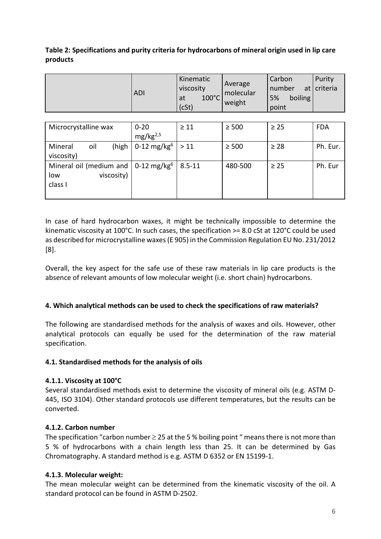### **Table 2: Specifications and purity criteria for hydrocarbons of mineral origin used in lip care products**

|            | Kinematic                                   |                                | Carbon                           | Purity        |
|------------|---------------------------------------------|--------------------------------|----------------------------------|---------------|
| <b>ADI</b> | viscosity<br>$100^{\circ}$ C<br>at<br>(cSt) | Average<br>molecular<br>weight | number<br>boiling<br>5%<br>point | at   criteria |

| Microcrystalline wax                              | $0 - 20$                       | $\geq 11$  | $\geq 500$ | $\geq 25$ | <b>FDA</b> |  |  |
|---------------------------------------------------|--------------------------------|------------|------------|-----------|------------|--|--|
|                                                   | mg/kg <sup>2,5</sup>           |            |            |           |            |  |  |
| (high<br>Mineral<br>oil                           | 0-12 mg/kg <sup>6</sup>   > 11 |            | $\geq 500$ | $\geq 28$ | Ph. Eur.   |  |  |
| viscosity)                                        |                                |            |            |           |            |  |  |
| Mineral oil (medium and   0-12 mg/kg <sup>6</sup> |                                | $8.5 - 11$ | 480-500    | $\geq 25$ | Ph. Eur    |  |  |
| viscosity)<br>low                                 |                                |            |            |           |            |  |  |
| class I                                           |                                |            |            |           |            |  |  |
|                                                   |                                |            |            |           |            |  |  |

In case of hard hydrocarbon waxes, it might be technically impossible to determine the kinematic viscosity at 100°C. In such cases, the specification >= 8.0 cSt at 120°C could be used as described for microcrystalline waxes (E 905) in the Commission Regulation EU No. 231/2012 [8].

Overall, the key aspect for the safe use of these raw materials in lip care products is the absence of relevant amounts of low molecular weight (i.e. short chain) hydrocarbons.

## **4. Which analytical methods can be used to check the specifications of raw materials?**

The following are standardised methods for the analysis of waxes and oils. However, other analytical protocols can equally be used for the determination of the raw material specification.

#### **4.1. Standardised methods for the analysis of oils**

## **4.1.1. Viscosity at 100°C**

Several standardised methods exist to determine the viscosity of mineral oils (e.g. ASTM D-445, ISO 3104). Other standard protocols use different temperatures, but the results can be converted.

## **4.1.2. Carbon number**

The specification "carbon number  $\geq$  25 at the 5 % boiling point " means there is not more than 5 % of hydrocarbons with a chain length less than 25. It can be determined by Gas Chromatography. A standard method is e.g. ASTM D 6352 or EN 15199-1.

#### **4.1.3. Molecular weight:**

The mean molecular weight can be determined from the kinematic viscosity of the oil. A standard protocol can be found in ASTM D-2502.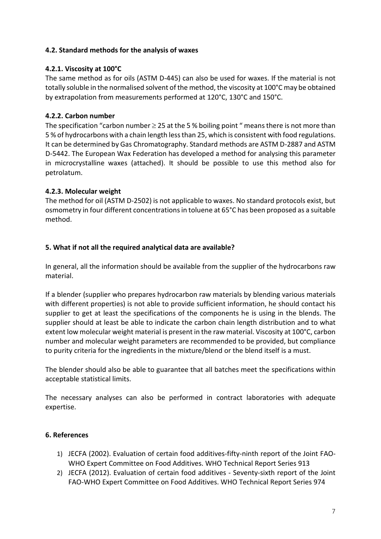### **4.2. Standard methods for the analysis of waxes**

## **4.2.1. Viscosity at 100°C**

The same method as for oils (ASTM D-445) can also be used for waxes. If the material is not totally soluble in the normalised solvent of the method, the viscosity at 100°C may be obtained by extrapolation from measurements performed at 120°C, 130°C and 150°C.

## **4.2.2. Carbon number**

The specification "carbon number  $\geq$  25 at the 5 % boiling point " means there is not more than 5 % of hydrocarbons with a chain length less than 25, which is consistent with food regulations. It can be determined by Gas Chromatography. Standard methods are ASTM D-2887 and ASTM D-5442. The European Wax Federation has developed a method for analysing this parameter in microcrystalline waxes (attached). It should be possible to use this method also for petrolatum.

## **4.2.3. Molecular weight**

The method for oil (ASTM D-2502) is not applicable to waxes. No standard protocols exist, but osmometry in four different concentrations in toluene at 65°C has been proposed as a suitable method.

## **5. What if not all the required analytical data are available?**

In general, all the information should be available from the supplier of the hydrocarbons raw material.

If a blender (supplier who prepares hydrocarbon raw materials by blending various materials with different properties) is not able to provide sufficient information, he should contact his supplier to get at least the specifications of the components he is using in the blends. The supplier should at least be able to indicate the carbon chain length distribution and to what extent low molecular weight material is present in the raw material. Viscosity at 100°C, carbon number and molecular weight parameters are recommended to be provided, but compliance to purity criteria for the ingredients in the mixture/blend or the blend itself is a must.

The blender should also be able to guarantee that all batches meet the specifications within acceptable statistical limits.

The necessary analyses can also be performed in contract laboratories with adequate expertise.

#### **6. References**

- 1) JECFA (2002). Evaluation of certain food additives-fifty-ninth report of the Joint FAO-WHO Expert Committee on Food Additives. WHO Technical Report Series 913
- 2) JECFA (2012). Evaluation of certain food additives Seventy-sixth report of the Joint FAO-WHO Expert Committee on Food Additives. WHO Technical Report Series 974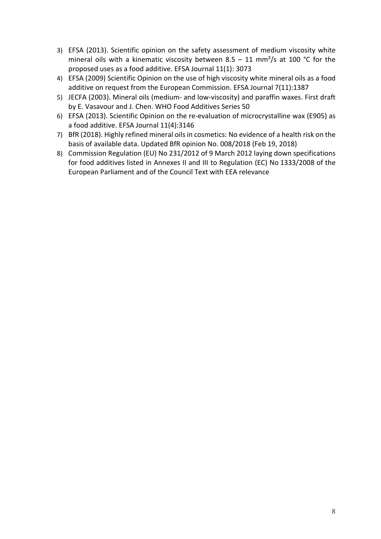- 3) EFSA (2013). Scientific opinion on the safety assessment of medium viscosity white mineral oils with a kinematic viscosity between 8.5 – 11 mm<sup>2</sup>/s at 100 °C for the proposed uses as a food additive. EFSA Journal 11(1): 3073
- 4) EFSA (2009) Scientific Opinion on the use of high viscosity white mineral oils as a food additive on request from the European Commission. EFSA Journal 7(11):1387
- 5) JECFA (2003). Mineral oils (medium- and low-viscosity) and paraffin waxes. First draft by E. Vasavour and J. Chen. WHO Food Additives Series 50
- 6) EFSA (2013). Scientific Opinion on the re-evaluation of microcrystalline wax (E905) as a food additive. EFSA Journal 11(4):3146
- 7) BfR (2018). Highly refined mineral oils in cosmetics: No evidence of a health risk on the basis of available data. Updated BfR opinion No. 008/2018 (Feb 19, 2018)
- 8) Commission Regulation (EU) No 231/2012 of 9 March 2012 laying down specifications for food additives listed in Annexes II and III to Regulation (EC) No 1333/2008 of the European Parliament and of the Council Text with EEA relevance